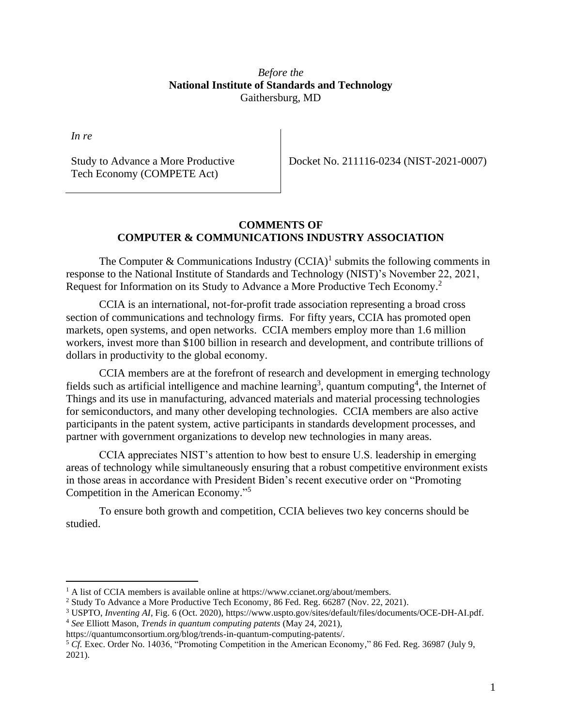*Before the* **National Institute of Standards and Technology** Gaithersburg, MD

*In re*

Study to Advance a More Productive Tech Economy (COMPETE Act)

Docket No. 211116-0234 (NIST-2021-0007)

#### **COMMENTS OF COMPUTER & COMMUNICATIONS INDUSTRY ASSOCIATION**

The Computer & Communications Industry  $(CCIA)^1$  submits the following comments in response to the National Institute of Standards and Technology (NIST)'s November 22, 2021, Request for Information on its Study to Advance a More Productive Tech Economy.<sup>2</sup>

CCIA is an international, not-for-profit trade association representing a broad cross section of communications and technology firms. For fifty years, CCIA has promoted open markets, open systems, and open networks. CCIA members employ more than 1.6 million workers, invest more than \$100 billion in research and development, and contribute trillions of dollars in productivity to the global economy.

CCIA members are at the forefront of research and development in emerging technology fields such as artificial intelligence and machine learning<sup>3</sup>, quantum computing<sup>4</sup>, the Internet of Things and its use in manufacturing, advanced materials and material processing technologies for semiconductors, and many other developing technologies. CCIA members are also active participants in the patent system, active participants in standards development processes, and partner with government organizations to develop new technologies in many areas.

CCIA appreciates NIST's attention to how best to ensure U.S. leadership in emerging areas of technology while simultaneously ensuring that a robust competitive environment exists in those areas in accordance with President Biden's recent executive order on "Promoting Competition in the American Economy." 5

To ensure both growth and competition, CCIA believes two key concerns should be studied.

<sup>&</sup>lt;sup>1</sup> A list of CCIA members is available online at https://www.ccianet.org/about/members.

<sup>2</sup> Study To Advance a More Productive Tech Economy, 86 Fed. Reg. 66287 (Nov. 22, 2021).

<sup>3</sup> USPTO, *Inventing AI*, Fig. 6 (Oct. 2020), https://www.uspto.gov/sites/default/files/documents/OCE-DH-AI.pdf. <sup>4</sup> *See* Elliott Mason, *Trends in quantum computing patents* (May 24, 2021),

https://quantumconsortium.org/blog/trends-in-quantum-computing-patents/.

<sup>5</sup> *Cf.* Exec. Order No. 14036, "Promoting Competition in the American Economy," 86 Fed. Reg. 36987 (July 9, 2021).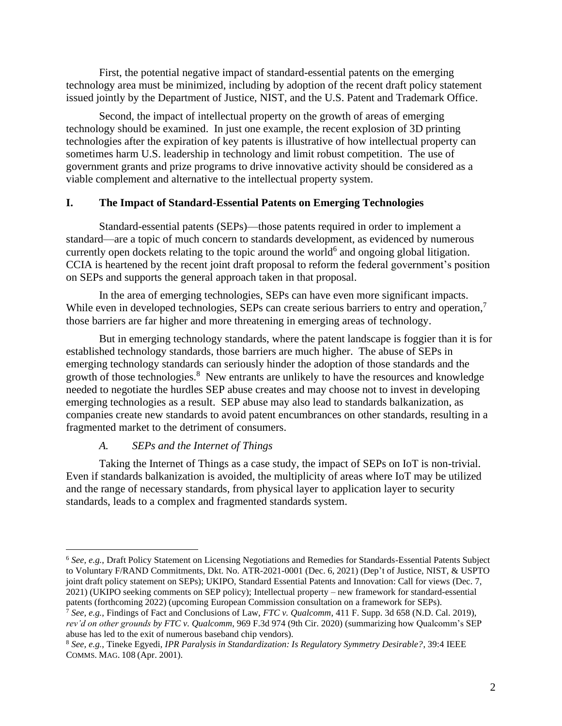First, the potential negative impact of standard-essential patents on the emerging technology area must be minimized, including by adoption of the recent draft policy statement issued jointly by the Department of Justice, NIST, and the U.S. Patent and Trademark Office.

Second, the impact of intellectual property on the growth of areas of emerging technology should be examined. In just one example, the recent explosion of 3D printing technologies after the expiration of key patents is illustrative of how intellectual property can sometimes harm U.S. leadership in technology and limit robust competition. The use of government grants and prize programs to drive innovative activity should be considered as a viable complement and alternative to the intellectual property system.

### **I. The Impact of Standard-Essential Patents on Emerging Technologies**

Standard-essential patents (SEPs)—those patents required in order to implement a standard—are a topic of much concern to standards development, as evidenced by numerous currently open dockets relating to the topic around the world<sup>6</sup> and ongoing global litigation. CCIA is heartened by the recent joint draft proposal to reform the federal government's position on SEPs and supports the general approach taken in that proposal.

In the area of emerging technologies, SEPs can have even more significant impacts. While even in developed technologies, SEPs can create serious barriers to entry and operation,<sup>7</sup> those barriers are far higher and more threatening in emerging areas of technology.

But in emerging technology standards, where the patent landscape is foggier than it is for established technology standards, those barriers are much higher. The abuse of SEPs in emerging technology standards can seriously hinder the adoption of those standards and the growth of those technologies.<sup>8</sup> New entrants are unlikely to have the resources and knowledge needed to negotiate the hurdles SEP abuse creates and may choose not to invest in developing emerging technologies as a result. SEP abuse may also lead to standards balkanization, as companies create new standards to avoid patent encumbrances on other standards, resulting in a fragmented market to the detriment of consumers.

# <span id="page-1-0"></span>*A. SEPs and the Internet of Things*

Taking the Internet of Things as a case study, the impact of SEPs on IoT is non-trivial. Even if standards balkanization is avoided, the multiplicity of areas where IoT may be utilized and the range of necessary standards, from physical layer to application layer to security standards, leads to a complex and fragmented standards system.

<sup>6</sup> *See, e.g.*, Draft Policy Statement on Licensing Negotiations and Remedies for Standards-Essential Patents Subject to Voluntary F/RAND Commitments, Dkt. No. ATR-2021-0001 (Dec. 6, 2021) (Dep't of Justice, NIST, & USPTO joint draft policy statement on SEPs); UKIPO, Standard Essential Patents and Innovation: Call for views (Dec. 7, 2021) (UKIPO seeking comments on SEP policy); Intellectual property – new framework for standard-essential patents (forthcoming 2022) (upcoming European Commission consultation on a framework for SEPs).

<sup>7</sup> *See, e.g.*, Findings of Fact and Conclusions of Law, *FTC v. Qualcomm*, 411 F. Supp. 3d 658 (N.D. Cal. 2019), *rev'd on other grounds by FTC v. Qualcomm*, 969 F.3d 974 (9th Cir. 2020) (summarizing how Qualcomm's SEP abuse has led to the exit of numerous baseband chip vendors).

<sup>8</sup> *See, e.g.*, Tineke Egyedi, *IPR Paralysis in Standardization: Is Regulatory Symmetry Desirable?*, 39:4 IEEE COMMS. MAG. 108 (Apr. 2001).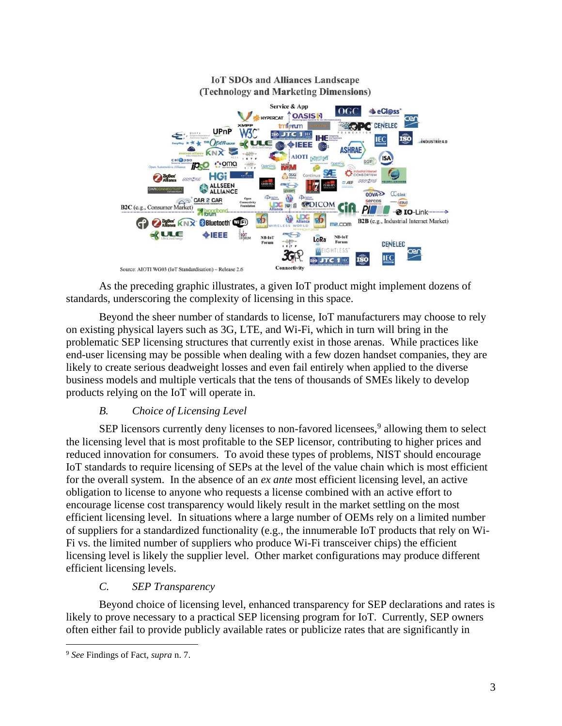

#### **IoT SDOs and Alliances Landscape** (Technology and Marketing Dimensions)

As the preceding graphic illustrates, a given IoT product might implement dozens of standards, underscoring the complexity of licensing in this space.

Beyond the sheer number of standards to license, IoT manufacturers may choose to rely on existing physical layers such as 3G, LTE, and Wi-Fi, which in turn will bring in the problematic SEP licensing structures that currently exist in those arenas. While practices like end-user licensing may be possible when dealing with a few dozen handset companies, they are likely to create serious deadweight losses and even fail entirely when applied to the diverse business models and multiple verticals that the tens of thousands of SMEs likely to develop products relying on the IoT will operate in.

# *B. Choice of Licensing Level*

SEP licensors currently deny licenses to non-favored licensees, $9$  allowing them to select the licensing level that is most profitable to the SEP licensor, contributing to higher prices and reduced innovation for consumers. To avoid these types of problems, NIST should encourage IoT standards to require licensing of SEPs at the level of the value chain which is most efficient for the overall system. In the absence of an *ex ante* most efficient licensing level, an active obligation to license to anyone who requests a license combined with an active effort to encourage license cost transparency would likely result in the market settling on the most efficient licensing level. In situations where a large number of OEMs rely on a limited number of suppliers for a standardized functionality (e.g., the innumerable IoT products that rely on Wi-Fi vs. the limited number of suppliers who produce Wi-Fi transceiver chips) the efficient licensing level is likely the supplier level. Other market configurations may produce different efficient licensing levels.

# *C. SEP Transparency*

Beyond choice of licensing level, enhanced transparency for SEP declarations and rates is likely to prove necessary to a practical SEP licensing program for IoT. Currently, SEP owners often either fail to provide publicly available rates or publicize rates that are significantly in

<sup>9</sup> *See* Findings of Fact, *supra* n. [7.](#page-1-0)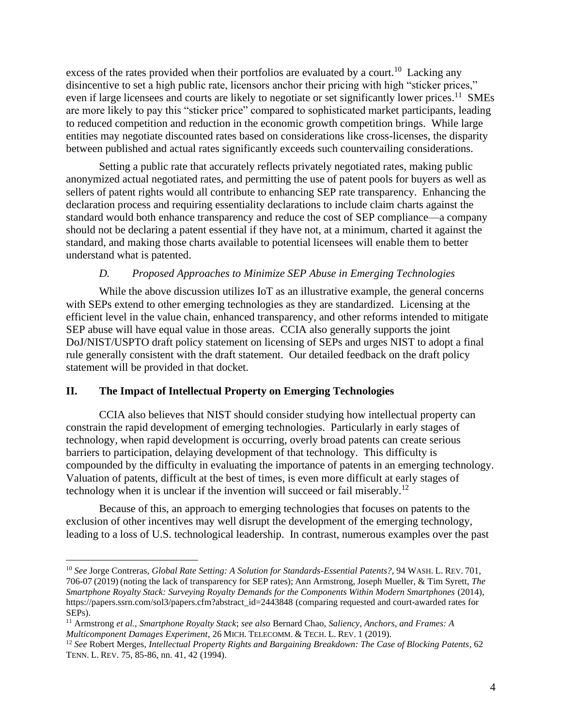excess of the rates provided when their portfolios are evaluated by a court.<sup>10</sup> Lacking any disincentive to set a high public rate, licensors anchor their pricing with high "sticker prices," even if large licensees and courts are likely to negotiate or set significantly lower prices.<sup>11</sup> SMEs are more likely to pay this "sticker price" compared to sophisticated market participants, leading to reduced competition and reduction in the economic growth competition brings. While large entities may negotiate discounted rates based on considerations like cross-licenses, the disparity between published and actual rates significantly exceeds such countervailing considerations.

Setting a public rate that accurately reflects privately negotiated rates, making public anonymized actual negotiated rates, and permitting the use of patent pools for buyers as well as sellers of patent rights would all contribute to enhancing SEP rate transparency. Enhancing the declaration process and requiring essentiality declarations to include claim charts against the standard would both enhance transparency and reduce the cost of SEP compliance—a company should not be declaring a patent essential if they have not, at a minimum, charted it against the standard, and making those charts available to potential licensees will enable them to better understand what is patented.

### *D. Proposed Approaches to Minimize SEP Abuse in Emerging Technologies*

While the above discussion utilizes IoT as an illustrative example, the general concerns with SEPs extend to other emerging technologies as they are standardized. Licensing at the efficient level in the value chain, enhanced transparency, and other reforms intended to mitigate SEP abuse will have equal value in those areas. CCIA also generally supports the joint DoJ/NIST/USPTO draft policy statement on licensing of SEPs and urges NIST to adopt a final rule generally consistent with the draft statement. Our detailed feedback on the draft policy statement will be provided in that docket.

# **II. The Impact of Intellectual Property on Emerging Technologies**

CCIA also believes that NIST should consider studying how intellectual property can constrain the rapid development of emerging technologies. Particularly in early stages of technology, when rapid development is occurring, overly broad patents can create serious barriers to participation, delaying development of that technology. This difficulty is compounded by the difficulty in evaluating the importance of patents in an emerging technology. Valuation of patents, difficult at the best of times, is even more difficult at early stages of technology when it is unclear if the invention will succeed or fail miserably.<sup>12</sup>

Because of this, an approach to emerging technologies that focuses on patents to the exclusion of other incentives may well disrupt the development of the emerging technology, leading to a loss of U.S. technological leadership. In contrast, numerous examples over the past

<sup>10</sup> *See* Jorge Contreras, *Global Rate Setting: A Solution for Standards-Essential Patents?*, 94 WASH. L. REV. 701, 706-07 (2019) (noting the lack of transparency for SEP rates); Ann Armstrong, Joseph Mueller, & Tim Syrett, *The Smartphone Royalty Stack: Surveying Royalty Demands for the Components Within Modern Smartphones* (2014), https://papers.ssrn.com/sol3/papers.cfm?abstract\_id=2443848 (comparing requested and court-awarded rates for SEPs).

<sup>11</sup> Armstrong *et al.*, *Smartphone Royalty Stack*; *see also* Bernard Chao, *Saliency, Anchors, and Frames: A Multicomponent Damages Experiment*, 26 MICH. TELECOMM. & TECH. L. REV. 1 (2019).

<sup>12</sup> *See* Robert Merges, *Intellectual Property Rights and Bargaining Breakdown: The Case of Blocking Patents*, 62 TENN. L. REV. 75, 85-86, nn. 41, 42 (1994).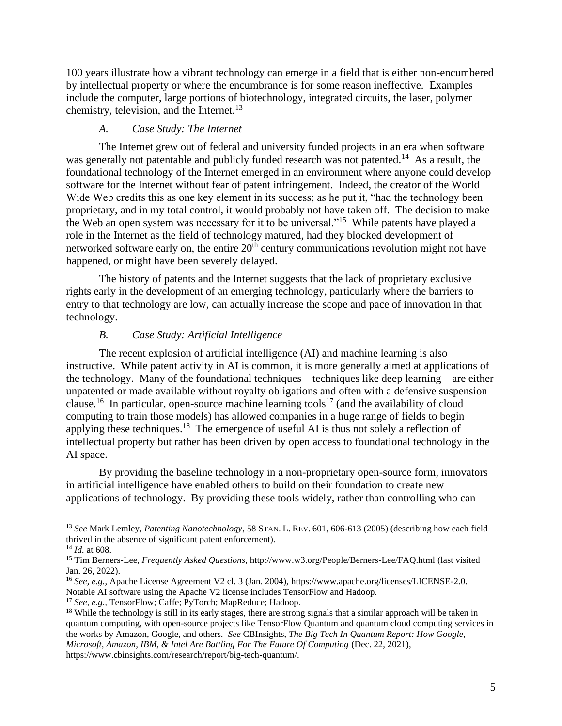100 years illustrate how a vibrant technology can emerge in a field that is either non-encumbered by intellectual property or where the encumbrance is for some reason ineffective. Examples include the computer, large portions of biotechnology, integrated circuits, the laser, polymer chemistry, television, and the Internet.<sup>13</sup>

#### *A. Case Study: The Internet*

The Internet grew out of federal and university funded projects in an era when software was generally not patentable and publicly funded research was not patented.<sup>14</sup> As a result, the foundational technology of the Internet emerged in an environment where anyone could develop software for the Internet without fear of patent infringement. Indeed, the creator of the World Wide Web credits this as one key element in its success; as he put it, "had the technology been proprietary, and in my total control, it would probably not have taken off. The decision to make the Web an open system was necessary for it to be universal."<sup>15</sup> While patents have played a role in the Internet as the field of technology matured, had they blocked development of networked software early on, the entire  $20<sup>th</sup>$  century communications revolution might not have happened, or might have been severely delayed.

The history of patents and the Internet suggests that the lack of proprietary exclusive rights early in the development of an emerging technology, particularly where the barriers to entry to that technology are low, can actually increase the scope and pace of innovation in that technology.

#### *B. Case Study: Artificial Intelligence*

The recent explosion of artificial intelligence (AI) and machine learning is also instructive. While patent activity in AI is common, it is more generally aimed at applications of the technology. Many of the foundational techniques—techniques like deep learning—are either unpatented or made available without royalty obligations and often with a defensive suspension clause.<sup>16</sup> In particular, open-source machine learning tools<sup>17</sup> (and the availability of cloud computing to train those models) has allowed companies in a huge range of fields to begin applying these techniques.<sup>18</sup> The emergence of useful AI is thus not solely a reflection of intellectual property but rather has been driven by open access to foundational technology in the AI space.

By providing the baseline technology in a non-proprietary open-source form, innovators in artificial intelligence have enabled others to build on their foundation to create new applications of technology. By providing these tools widely, rather than controlling who can

<sup>13</sup> *See* Mark Lemley, *Patenting Nanotechnology*, 58 STAN. L. REV. 601, 606-613 (2005) (describing how each field thrived in the absence of significant patent enforcement).

<sup>14</sup> *Id.* at 608.

<sup>15</sup> Tim Berners-Lee, *Frequently Asked Questions*, http://www.w3.org/People/Berners-Lee/FAQ.html (last visited Jan. 26, 2022).

<sup>&</sup>lt;sup>16</sup> See, e.g., Apache License Agreement V2 cl. 3 (Jan. 2004), https://www.apache.org/licenses/LICENSE-2.0. Notable AI software using the Apache V2 license includes TensorFlow and Hadoop.

<sup>17</sup> *See, e.g.*, TensorFlow; Caffe; PyTorch; MapReduce; Hadoop.

 $18$  While the technology is still in its early stages, there are strong signals that a similar approach will be taken in quantum computing, with open-source projects like TensorFlow Quantum and quantum cloud computing services in the works by Amazon, Google, and others. *See* CBInsights, *The Big Tech In Quantum Report: How Google, Microsoft, Amazon, IBM, & Intel Are Battling For The Future Of Computing* (Dec. 22, 2021), https://www.cbinsights.com/research/report/big-tech-quantum/.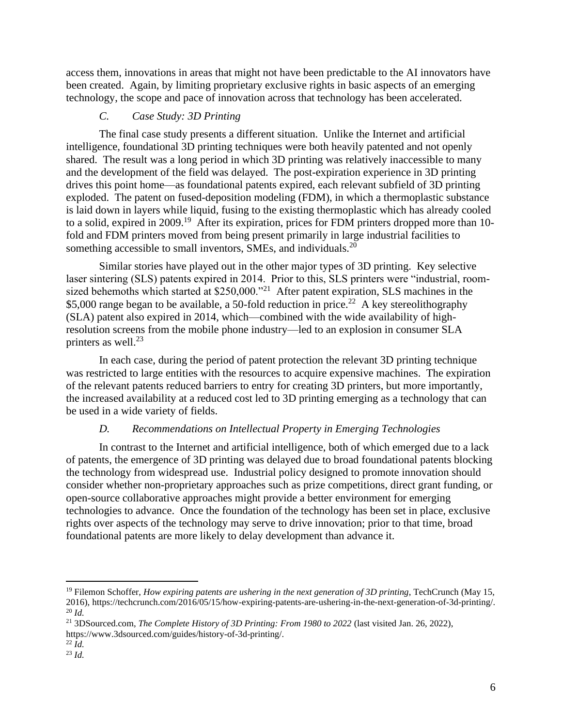access them, innovations in areas that might not have been predictable to the AI innovators have been created. Again, by limiting proprietary exclusive rights in basic aspects of an emerging technology, the scope and pace of innovation across that technology has been accelerated.

## *C. Case Study: 3D Printing*

The final case study presents a different situation. Unlike the Internet and artificial intelligence, foundational 3D printing techniques were both heavily patented and not openly shared. The result was a long period in which 3D printing was relatively inaccessible to many and the development of the field was delayed. The post-expiration experience in 3D printing drives this point home—as foundational patents expired, each relevant subfield of 3D printing exploded. The patent on fused-deposition modeling (FDM), in which a thermoplastic substance is laid down in layers while liquid, fusing to the existing thermoplastic which has already cooled to a solid, expired in 2009.<sup>19</sup> After its expiration, prices for FDM printers dropped more than 10fold and FDM printers moved from being present primarily in large industrial facilities to something accessible to small inventors, SMEs, and individuals.<sup>20</sup>

Similar stories have played out in the other major types of 3D printing. Key selective laser sintering (SLS) patents expired in 2014. Prior to this, SLS printers were "industrial, roomsized behemoths which started at  $$250,000.^{21}$  After patent expiration, SLS machines in the \$5,000 range began to be available, a 50-fold reduction in price.<sup>22</sup> A key stereolithography (SLA) patent also expired in 2014, which—combined with the wide availability of highresolution screens from the mobile phone industry—led to an explosion in consumer SLA printers as well. $^{23}$ 

In each case, during the period of patent protection the relevant 3D printing technique was restricted to large entities with the resources to acquire expensive machines. The expiration of the relevant patents reduced barriers to entry for creating 3D printers, but more importantly, the increased availability at a reduced cost led to 3D printing emerging as a technology that can be used in a wide variety of fields.

# *D. Recommendations on Intellectual Property in Emerging Technologies*

In contrast to the Internet and artificial intelligence, both of which emerged due to a lack of patents, the emergence of 3D printing was delayed due to broad foundational patents blocking the technology from widespread use. Industrial policy designed to promote innovation should consider whether non-proprietary approaches such as prize competitions, direct grant funding, or open-source collaborative approaches might provide a better environment for emerging technologies to advance. Once the foundation of the technology has been set in place, exclusive rights over aspects of the technology may serve to drive innovation; prior to that time, broad foundational patents are more likely to delay development than advance it.

<sup>22</sup> *Id.* <sup>23</sup> *Id.*

<sup>19</sup> Filemon Schoffer, *How expiring patents are ushering in the next generation of 3D printing*, TechCrunch (May 15, 2016), https://techcrunch.com/2016/05/15/how-expiring-patents-are-ushering-in-the-next-generation-of-3d-printing/. <sup>20</sup> *Id.*

<sup>21</sup> 3DSourced.com, *The Complete History of 3D Printing: From 1980 to 2022* (last visited Jan. 26, 2022), https://www.3dsourced.com/guides/history-of-3d-printing/.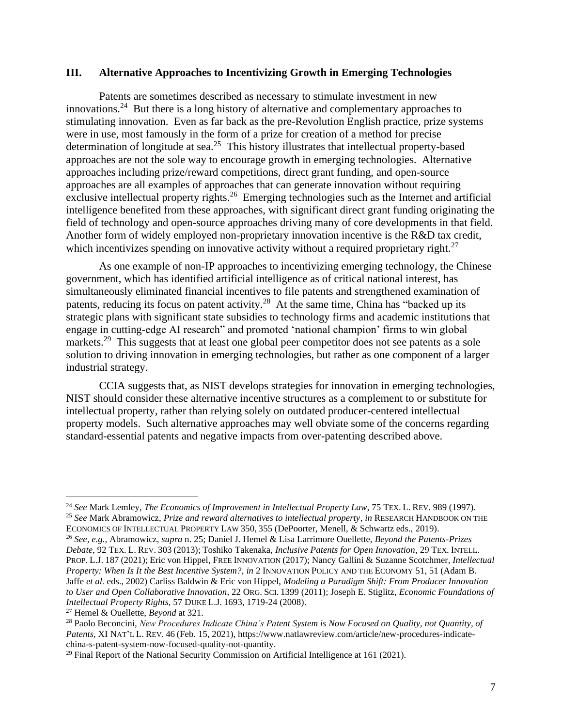#### **III. Alternative Approaches to Incentivizing Growth in Emerging Technologies**

<span id="page-6-0"></span>Patents are sometimes described as necessary to stimulate investment in new innovations.<sup>24</sup> But there is a long history of alternative and complementary approaches to stimulating innovation. Even as far back as the pre-Revolution English practice, prize systems were in use, most famously in the form of a prize for creation of a method for precise determination of longitude at sea.<sup>25</sup> This history illustrates that intellectual property-based approaches are not the sole way to encourage growth in emerging technologies. Alternative approaches including prize/reward competitions, direct grant funding, and open-source approaches are all examples of approaches that can generate innovation without requiring exclusive intellectual property rights.<sup>26</sup> Emerging technologies such as the Internet and artificial intelligence benefited from these approaches, with significant direct grant funding originating the field of technology and open-source approaches driving many of core developments in that field. Another form of widely employed non-proprietary innovation incentive is the R&D tax credit, which incentivizes spending on innovative activity without a required proprietary right.<sup>27</sup>

As one example of non-IP approaches to incentivizing emerging technology, the Chinese government, which has identified artificial intelligence as of critical national interest, has simultaneously eliminated financial incentives to file patents and strengthened examination of patents, reducing its focus on patent activity.<sup>28</sup> At the same time, China has "backed up its strategic plans with significant state subsidies to technology firms and academic institutions that engage in cutting-edge AI research" and promoted 'national champion' firms to win global markets.<sup>29</sup> This suggests that at least one global peer competitor does not see patents as a sole solution to driving innovation in emerging technologies, but rather as one component of a larger industrial strategy.

CCIA suggests that, as NIST develops strategies for innovation in emerging technologies, NIST should consider these alternative incentive structures as a complement to or substitute for intellectual property, rather than relying solely on outdated producer-centered intellectual property models. Such alternative approaches may well obviate some of the concerns regarding standard-essential patents and negative impacts from over-patenting described above.

<sup>24</sup> *See* Mark Lemley, *The Economics of Improvement in Intellectual Property Law*, 75 TEX. L. REV. 989 (1997). <sup>25</sup> *See* Mark Abramowicz, *Prize and reward alternatives to intellectual property, in* RESEARCH HANDBOOK ON THE ECONOMICS OF INTELLECTUAL PROPERTY LAW 350, 355 (DePoorter, Menell, & Schwartz eds., 2019).

<sup>26</sup> *See, e.g.*, Abramowicz, *supra* n. [25;](#page-6-0) Daniel J. Hemel & Lisa Larrimore Ouellette, *Beyond the Patents-Prizes Debate*, 92 TEX. L. REV. 303 (2013); Toshiko Takenaka, *Inclusive Patents for Open Innovation*, 29 TEX. INTELL. PROP. L.J. 187 (2021); Eric von Hippel, FREE INNOVATION (2017); Nancy Gallini & Suzanne Scotchmer, *Intellectual Property: When Is It the Best Incentive System?*, *in* 2 INNOVATION POLICY AND THE ECONOMY 51, 51 (Adam B. Jaffe *et al.* eds., 2002) Carliss Baldwin & Eric von Hippel, *Modeling a Paradigm Shift: From Producer Innovation to User and Open Collaborative Innovation*, 22 ORG. SCI. 1399 (2011); Joseph E. Stiglitz, *Economic Foundations of Intellectual Property Rights*, 57 DUKE L.J. 1693, 1719-24 (2008).

<sup>27</sup> Hemel & Ouellette, *Beyond* at 321.

<sup>28</sup> Paolo Beconcini*, New Procedures Indicate China's Patent System is Now Focused on Quality, not Quantity, of Patents*, XI NAT'L L. REV. 46 (Feb. 15, 2021), https://www.natlawreview.com/article/new-procedures-indicatechina-s-patent-system-now-focused-quality-not-quantity.

 $29$  Final Report of the National Security Commission on Artificial Intelligence at 161 (2021).